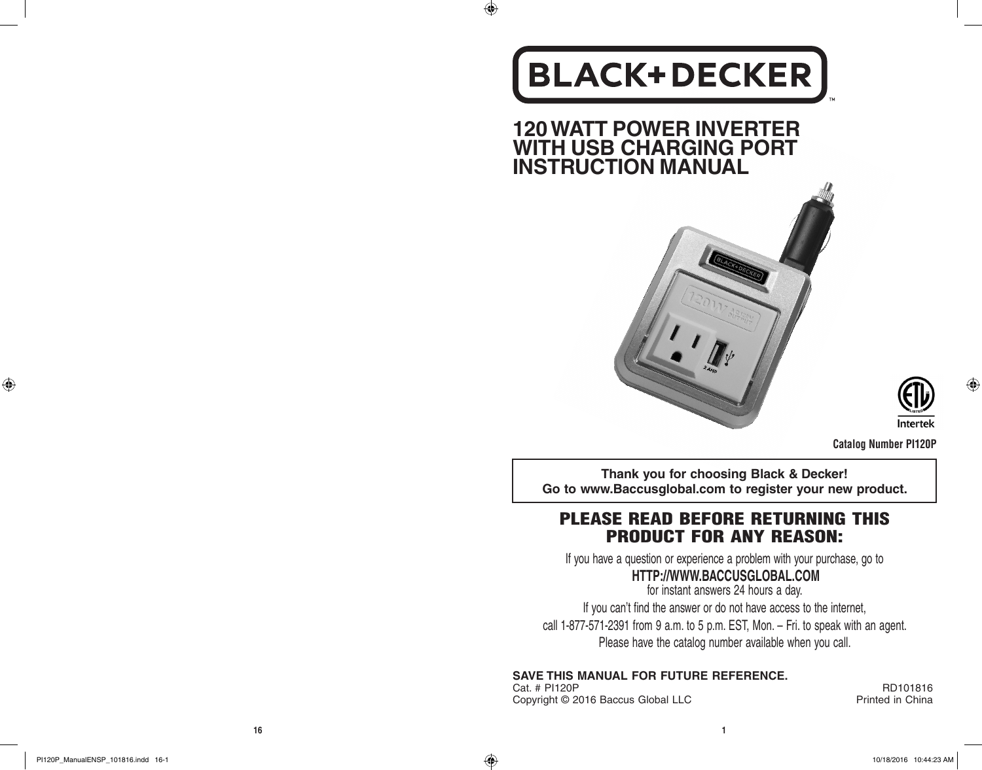# **BLACK+DECKER**

 $\bigoplus$ 

**120 WATT POWER INVERTER WITH USB CHARGING PORT INSTRUCTION MANUAL**



**Catalog Number PI120P**

Intertek

**Thank you for choosing Black & Decker! Go to www.Baccusglobal.com to register your new product.**

# PLEASE READ BEFORE RETURNING THIS PRODUCT FOR ANY REASON:

If you have a question or experience a problem with your purchase, go to

# **HTTP://WWW.BACCUSGLOBAL.COM**

for instant answers 24 hours a day. If you can't find the answer or do not have access to the internet, call 1-877-571-2391 from 9 a.m. to 5 p.m. EST, Mon. – Fri. to speak with an agent. Please have the catalog number available when you call.

**SAVE THIS MANUAL FOR FUTURE REFERENCE.**

Cat. # PI120P RD101816<br>Copyright © 2016 Baccus Global LLC Research Printed in China Copyright © 2016 Baccus Global LLC

 $\bigoplus$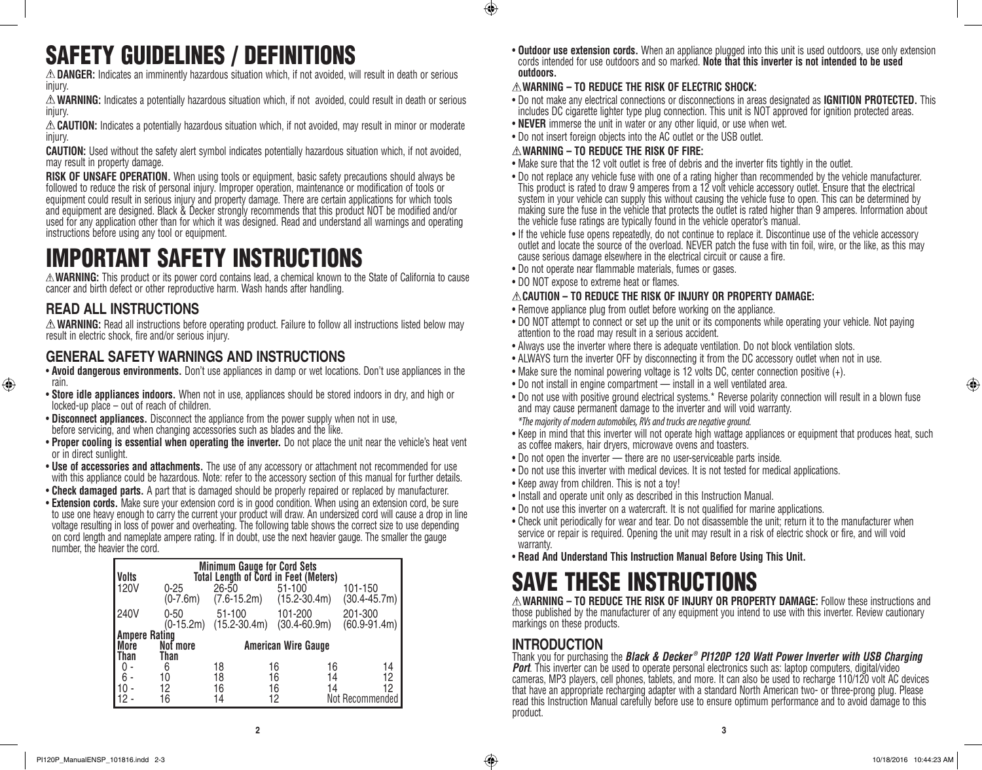# SAFETY GUIDELINES / DEFINITIONS

**DANGER:** Indicates an imminently hazardous situation which, if not avoided, will result in death or serious injury.

**WARNING:** Indicates a potentially hazardous situation which, if not avoided, could result in death or serious injury.

**CAUTION:** Indicates a potentially hazardous situation which, if not avoided, may result in minor or moderate injury.

**CAUTION:** Used without the safety alert symbol indicates potentially hazardous situation which, if not avoided, may result in property damage.

**RISK OF UNSAFE OPERATION.** When using tools or equipment, basic safety precautions should always be followed to reduce the risk of personal injury. Improper operation, maintenance or modification of tools or equipment could result in serious injury and property damage. There are certain applications for which tools and equipment are designed. Black & Decker strongly recommends that this product NOT be modified and/or used for any application other than for which it was designed. Read and understand all warnings and operating instructions before using any tool or equipment.

# IMPORTANT SAFETY INSTRUCTIONS

**WARNING:** This product or its power cord contains lead, a chemical known to the State of California to cause cancer and birth defect or other reproductive harm. Wash hands after handling.

# **READ ALL INSTRUCTIONS**

♠

**WARNING:** Read all instructions before operating product. Failure to follow all instructions listed below may result in electric shock, fire and/or serious injury.

# **GENERAL SAFETY WARNINGS AND INSTRUCTIONS**

- • **Avoid dangerous environments.** Don't use appliances in damp or wet locations. Don't use appliances in the rain.
- • **Store idle appliances indoors.** When not in use, appliances should be stored indoors in dry, and high or locked-up place – out of reach of children.
- **Disconnect appliances**. Disconnect the appliance from the power supply when not in use, before servicing, and when changing accessories such as blades and the like.
- • **Proper cooling is essential when operating the inverter.** Do not place the unit near the vehicle's heat vent or in direct sunlight.
- • **Use of accessories and attachments.** The use of any accessory or attachment not recommended for use with this appliance could be hazardous. Note: refer to the accessory section of this manual for further details.
- **Check damaged parts.** A part that is damaged should be properly repaired or replaced by manufacturer.
- **Extension cords.** Make sure your extension cord is in good condition. When using an extension cord, be sure to use one heavy enough to carry the current your product will draw. An undersized cord will cause a drop in line voltage resulting in loss of power and overheating. The following table shows the correct size to use depending on cord length and nameplate ampere rating. If in doubt, use the next heavier gauge. The smaller the gauge number, the heavier the cord.

| Volts       |                         | <b>Minimum Gauge for Cord Sets</b><br><b>Total Length of Cord in Feet (Meters)</b> |                                |                 |                  |
|-------------|-------------------------|------------------------------------------------------------------------------------|--------------------------------|-----------------|------------------|
| <b>120V</b> | $0 - 25$<br>$(0-7.6m)$  | 26-50<br>$(7.6 - 15.2m)$                                                           | $51 - 100$<br>$(15.2 - 30.4m)$ | 101-150         | $(30.4 - 45.7m)$ |
| 240V        | $0 - 50$<br>$(0-15.2m)$ | 51-100<br>$(15.2 - 30.4m)$                                                         | 101-200<br>$(30.4 - 60.9m)$    | 201-300         | $(60.9 - 91.4m)$ |
|             | <b>Ampere Rating</b>    |                                                                                    |                                |                 |                  |
| More        | Not more                |                                                                                    | <b>American Wire Gauge</b>     |                 |                  |
| Than        | Than                    |                                                                                    |                                |                 |                  |
| 0           | 6                       | 18                                                                                 | 16                             | 16              | 14               |
| 6 -         | 10                      | 18                                                                                 | 16                             | 14              | 12               |
| 10          | 12                      | 16                                                                                 | 16                             | 14              | 12               |
| 12.         | 16                      | 14                                                                                 | 12                             | Not Recommended |                  |

• **Outdoor use extension cords.** When an appliance plugged into this unit is used outdoors, use only extension cords intended for use outdoors and so marked. **Note that this inverter is not intended to be used outdoors.**

### **WARNING – TO REDUCE THE RISK OF ELECTRIC SHOCK:**

- • Do not make any electrical connections or disconnections in areas designated as **IGNITION PROTECTED.** This includes DC cigarette lighter type plug connection. This unit is NOT approved for ignition protected areas.
- **NEVER** immerse the unit in water or any other liquid, or use when wet.
- Do not insert foreign objects into the AC outlet or the USB outlet.

### **WARNING – TO REDUCE THE RISK OF FIRE:**

 $\bigcirc$ 

- Make sure that the 12 volt outlet is free of debris and the inverter fits tightly in the outlet.
- • Do not replace any vehicle fuse with one of a rating higher than recommended by the vehicle manufacturer. This product is rated to draw 9 amperes from a 12 volt vehicle accessory outlet. Ensure that the electrical system in your vehicle can supply this without causing the vehicle fuse to open. This can be determined by making sure the fuse in the vehicle that protects the outlet is rated higher than 9 amperes. Information about the vehicle fuse ratings are typically found in the vehicle operator's manual.
- If the vehicle fuse opens repeatedly, do not continue to replace it. Discontinue use of the vehicle accessory outlet and locate the source of the overload. NEVER patch the fuse with tin foil, wire, or the like, as this may cause serious damage elsewhere in the electrical circuit or cause a fire.
- Do not operate near flammable materials, fumes or gases.
- DO NOT expose to extreme heat or flames.

### **CAUTION – TO REDUCE THE RISK OF INJURY OR PROPERTY DAMAGE:**

- Remove appliance plug from outlet before working on the appliance.
- DO NOT attempt to connect or set up the unit or its components while operating your vehicle. Not paying attention to the road may result in a serious accident.
- Always use the inverter where there is adequate ventilation. Do not block ventilation slots.
- ALWAYS turn the inverter OFF by disconnecting it from the DC accessory outlet when not in use.
- Make sure the nominal powering voltage is 12 volts DC, center connection positive (+).
- Do not install in engine compartment install in a well ventilated area.
- • Do not use with positive ground electrical systems.\* Reverse polarity connection will result in a blown fuse and may cause permanent damage to the inverter and will void warranty. *\*The majority of modern automobiles, RVs and trucks are negative ground.*
- • Keep in mind that this inverter will not operate high wattage appliances or equipment that produces heat, such as coffee makers, hair dryers, microwave ovens and toasters.
- Do not open the inverter there are no user-serviceable parts inside.
- Do not use this inverter with medical devices. It is not tested for medical applications.
- Keep away from children. This is not a toy!
- Install and operate unit only as described in this Instruction Manual.
- Do not use this inverter on a watercraft. It is not qualified for marine applications.
- • Check unit periodically for wear and tear. Do not disassemble the unit; return it to the manufacturer when service or repair is required. Opening the unit may result in a risk of electric shock or fire, and will void warranty.
- • **Read And Understand This Instruction Manual Before Using This Unit.**

# SAVE THESE INSTRUCTIONS

**WARNING – TO REDUCE THE RISK OF INJURY OR PROPERTY DAMAGE:** Follow these instructions and those published by the manufacturer of any equipment you intend to use with this inverter. Review cautionary markings on these products.

# **INTRODUCTION**

Thank you for purchasing the *Black & Decker ® PI120P 120 Watt Power Inverter with USB Charging Port.* This inverter can be used to operate personal electronics such as: laptop computers, digital/video cameras, MP3 players, cell phones, tablets, and more. It can also be used to recharge 110/120 volt AC devices that have an appropriate recharging adapter with a standard North American two- or three-prong plug. Please read this Instruction Manual carefully before use to ensure optimum performance and to avoid damage to this product.

⊕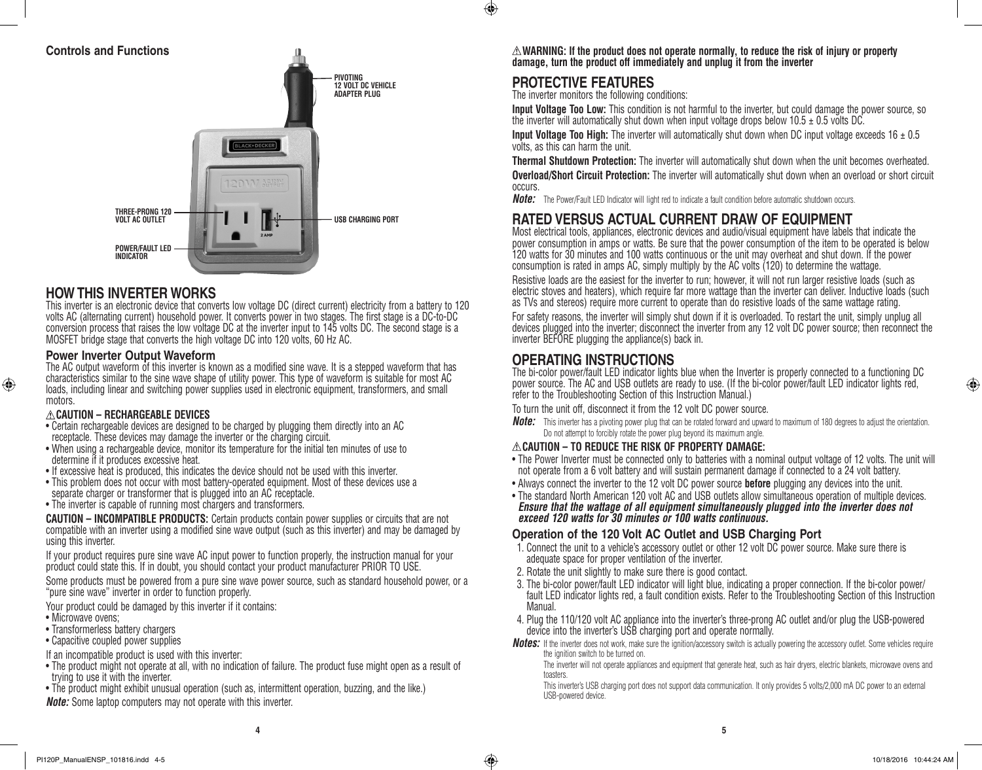### **Controls and Functions**



### **HOW THIS INVERTER WORKS**

This inverter is an electronic device that converts low voltage DC (direct current) electricity from a battery to 120 volts AC (alternating current) household power. It converts power in two stages. The first stage is a DC-to-DC conversion process that raises the low voltage DC at the inverter input to 145 volts DC. The second stage is a MOSFET bridge stage that converts the high voltage DC into 120 volts, 60 Hz AC.

### **Power Inverter Output Waveform**

The AC output waveform of this inverter is known as a modified sine wave. It is a stepped waveform that has characteristics similar to the sine wave shape of utility power. This type of waveform is suitable for most AC loads, including linear and switching power supplies used in electronic equipment, transformers, and small motors.

#### **CAUTION – RECHARGEABLE DEVICES**

- • Certain rechargeable devices are designed to be charged by plugging them directly into an AC receptacle. These devices may damage the inverter or the charging circuit.
- When using a rechargeable device, monitor its temperature for the initial ten minutes of use to determine if it produces excessive heat.
- If excessive heat is produced, this indicates the device should not be used with this inverter.
- This problem does not occur with most battery-operated equipment. Most of these devices use a separate charger or transformer that is plugged into an AC receptacle.
- The inverter is capable of running most chargers and transformers.

**CAUTION – INCOMPATIBLE PRODUCTS:** Certain products contain power supplies or circuits that are not compatible with an inverter using a modified sine wave output (such as this inverter) and may be damaged by using this inverter.

If your product requires pure sine wave AC input power to function properly, the instruction manual for your product could state this. If in doubt, you should contact your product manufacturer PRIOR TO USE.

Some products must be powered from a pure sine wave power source, such as standard household power, or a "pure sine wave" inverter in order to function properly.

Your product could be damaged by this inverter if it contains:

• Microwave ovens:

⊕

- Transformerless battery chargers
- Capacitive coupled power supplies
- If an incompatible product is used with this inverter:
- The product might not operate at all, with no indication of failure. The product fuse might open as a result of trying to use it with the inverter.
- The product might exhibit unusual operation (such as, intermittent operation, buzzing, and the like.)

*Note:* Some laptop computers may not operate with this inverter.

**WARNING: If the product does not operate normally, to reduce the risk of injury or property damage, turn the product off immediately and unplug it from the inverter**

## **PROTECTIVE FEATURES**

 $\bigcirc$ 

The inverter monitors the following conditions:

**Input Voltage Too Low:** This condition is not harmful to the inverter, but could damage the power source, so the inverter will automatically shut down when input voltage drops below  $10.5 \pm 0.5$  volts DC.

**Input Voltage Too High:** The inverter will automatically shut down when DC input voltage exceeds 16  $\pm$  0.5 volts, as this can harm the unit.

**Thermal Shutdown Protection:** The inverter will automatically shut down when the unit becomes overheated. **Overload/Short Circuit Protection:** The inverter will automatically shut down when an overload or short circuit occurs.

*Note:* The Power/Fault LED Indicator will light red to indicate a fault condition before automatic shutdown occurs.

# **RATED VERSUS ACTUAL CURRENT DRAW OF EQUIPMENT**

Most electrical tools, appliances, electronic devices and audio/visual equipment have labels that indicate the power consumption in amps or watts. Be sure that the power consumption of the item to be operated is below 120 watts for 30 minutes and 100 watts continuous or the unit may overheat and shut down. If the power consumption is rated in amps AC, simply multiply by the AC volts (120) to determine the wattage.

Resistive loads are the easiest for the inverter to run; however, it will not run larger resistive loads (such as electric stoves and heaters), which require far more wattage than the inverter can deliver. Inductive loads (such as TVs and stereos) require more current to operate than do resistive loads of the same wattage rating.

For safety reasons, the inverter will simply shut down if it is overloaded. To restart the unit, simply unplug all devices plugged into the inverter; disconnect the inverter from any 12 volt DC power source; then reconnect the inverter BEFORE plugging the appliance(s) back in.

## **OPERATING INSTRUCTIONS**

The bi-color power/fault LED indicator lights blue when the Inverter is properly connected to a functioning DC power source. The AC and USB outlets are ready to use. (If the bi-color power/fault LED indicator lights red, refer to the Troubleshooting Section of this Instruction Manual.)

To turn the unit off, disconnect it from the 12 volt DC power source.

*Note:* This inverter has a pivoting power plug that can be rotated forward and upward to maximum of 180 degrees to adjust the orientation. Do not attempt to forcibly rotate the power plug beyond its maximum angle.

#### **CAUTION – TO REDUCE THE RISK OF PROPERTY DAMAGE:**

- The Power Inverter must be connected only to batteries with a nominal output voltage of 12 volts. The unit will not operate from a 6 volt battery and will sustain permanent damage if connected to a 24 volt battery.
- • Always connect the inverter to the 12 volt DC power source **before** plugging any devices into the unit.
- The standard North American 120 volt AC and USB outlets allow simultaneous operation of multiple devices. *Ensure that the wattage of all equipment simultaneously plugged into the inverter does not exceed 120 watts for 30 minutes or 100 watts continuous.*

### **Operation of the 120 Volt AC Outlet and USB Charging Port**

- 1. Connect the unit to a vehicle's accessory outlet or other 12 volt DC power source. Make sure there is adequate space for proper ventilation of the inverter.
- 2. Rotate the unit slightly to make sure there is good contact.
- 3. The bi-color power/fault LED indicator will light blue, indicating a proper connection. If the bi-color power/ fault LED indicator lights red, a fault condition exists. Refer to the Troubleshooting Section of this Instruction Manual.
- 4. Plug the 110/120 volt AC appliance into the inverter's three-prong AC outlet and/or plug the USB-powered device into the inverter's USB charging port and operate normally.
- *Notes:* If the inverter does not work, make sure the ignition/accessory switch is actually powering the accessory outlet. Some vehicles require the ignition switch to be turned on.

The inverter will not operate appliances and equipment that generate heat, such as hair dryers, electric blankets, microwave ovens and toasters.

 This inverter's USB charging port does not support data communication. It only provides 5 volts/2,000 mA DC power to an external USB-powered device.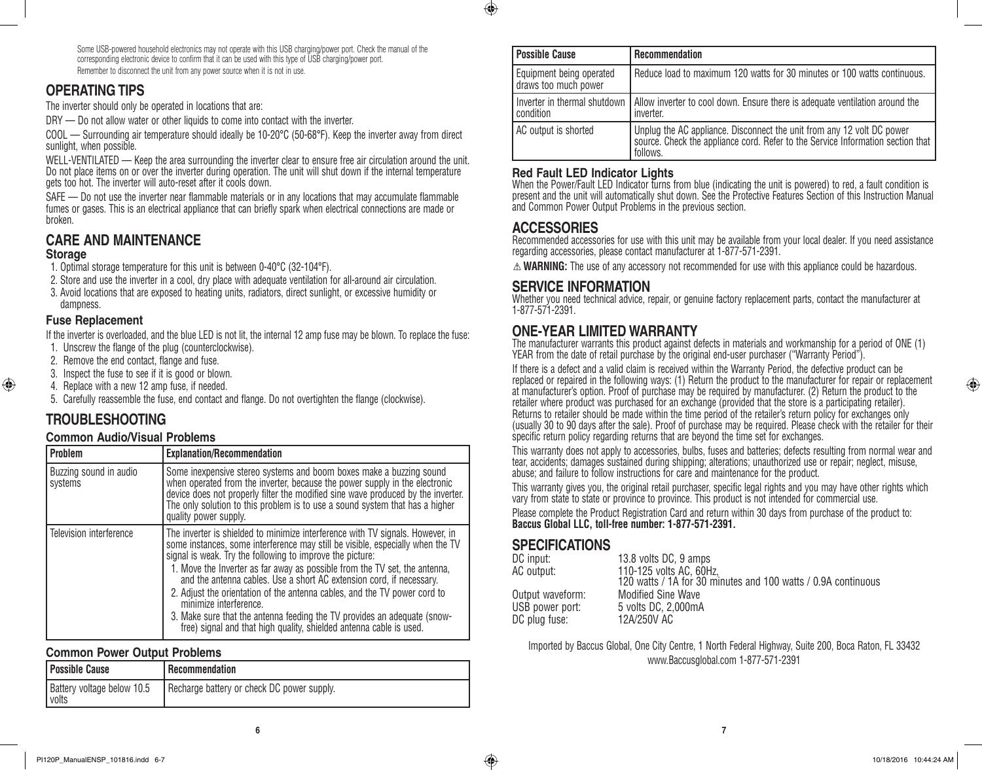Some USB-powered household electronics may not operate with this USB charging/power port. Check the manual of the corresponding electronic device to confirm that it can be used with this type of USB charging/power port. Remember to disconnect the unit from any power source when it is not in use.

### **OPERATING TIPS**

The inverter should only be operated in locations that are:

DRY — Do not allow water or other liquids to come into contact with the inverter.

COOL — Surrounding air temperature should ideally be 10-20°C (50-68°F). Keep the inverter away from direct sunlight, when possible.

WELL-VENTILATED — Keep the area surrounding the inverter clear to ensure free air circulation around the unit. Do not place items on or over the inverter during operation. The unit will shut down if the internal temperature gets too hot. The inverter will auto-reset after it cools down.

SAFE — Do not use the inverter near flammable materials or in any locations that may accumulate flammable fumes or gases. This is an electrical appliance that can briefly spark when electrical connections are made or broken.

# **CARE AND MAINTENANCE**

### **Storage**

⊕

1. Optimal storage temperature for this unit is between 0-40°C (32-104°F).

- 2. Store and use the inverter in a cool, dry place with adequate ventilation for all-around air circulation.
- 3. Avoid locations that are exposed to heating units, radiators, direct sunlight, or excessive humidity or dampness.

### **Fuse Replacement**

If the inverter is overloaded, and the blue LED is not lit, the internal 12 amp fuse may be blown. To replace the fuse: 1. Unscrew the flange of the plug (counterclockwise).

- 
- 2. Remove the end contact, flange and fuse.
- 3. Inspect the fuse to see if it is good or blown.
- 4. Replace with a new 12 amp fuse, if needed.

5. Carefully reassemble the fuse, end contact and flange. Do not overtighten the flange (clockwise).

# **TROUBLESHOOTING**

### **Common Audio/Visual Problems**

| l Problem                         | <b>Explanation/Recommendation</b>                                                                                                                                                                                                                                                                                                                                                                                                                                                                                                                                                                                                             |
|-----------------------------------|-----------------------------------------------------------------------------------------------------------------------------------------------------------------------------------------------------------------------------------------------------------------------------------------------------------------------------------------------------------------------------------------------------------------------------------------------------------------------------------------------------------------------------------------------------------------------------------------------------------------------------------------------|
| Buzzing sound in audio<br>systems | Some inexpensive stereo systems and boom boxes make a buzzing sound<br>when operated from the inverter, because the power supply in the electronic<br>device does not properly filter the modified sine wave produced by the inverter.<br>The only solution to this problem is to use a sound system that has a higher<br>quality power supply.                                                                                                                                                                                                                                                                                               |
| Television interference           | The inverter is shielded to minimize interference with TV signals. However, in<br>some instances, some interference may still be visible, especially when the TV<br>signal is weak. Try the following to improve the picture:<br>1. Move the Inverter as far away as possible from the TV set, the antenna,<br>and the antenna cables. Use a short AC extension cord, if necessary.<br>2. Adjust the orientation of the antenna cables, and the TV power cord to<br>minimize interference.<br>3. Make sure that the antenna feeding the TV provides an adequate (snow-<br>free) signal and that high quality, shielded antenna cable is used. |

### **Common Power Output Problems**

| Possible Cause                      | Recommendation                             |
|-------------------------------------|--------------------------------------------|
| Battery voltage below 10.5<br>volts | Recharge battery or check DC power supply. |

| <b>Possible Cause</b>                            | <b>Recommendation</b>                                                                                                                                                 |  |  |
|--------------------------------------------------|-----------------------------------------------------------------------------------------------------------------------------------------------------------------------|--|--|
| Equipment being operated<br>draws too much power | Reduce load to maximum 120 watts for 30 minutes or 100 watts continuous.                                                                                              |  |  |
| Inverter in thermal shutdown<br>condition        | Allow inverter to cool down. Ensure there is adequate ventilation around the<br>inverter.                                                                             |  |  |
| AC output is shorted                             | Unplug the AC appliance. Disconnect the unit from any 12 volt DC power<br>source. Check the appliance cord. Refer to the Service Information section that<br>follows. |  |  |

### **Red Fault LED Indicator Lights**

When the Power/Fault LED Indicator turns from blue (indicating the unit is powered) to red, a fault condition is present and the unit will automatically shut down. See the Protective Features Section of this Instruction Manual and Common Power Output Problems in the previous section.

### **ACCESSORIES**

 $\bigcirc$ 

Recommended accessories for use with this unit may be available from your local dealer. If you need assistance regarding accessories, please contact manufacturer at 1-877-571-2391.

 $\triangle$  **WARNING:** The use of any accessory not recommended for use with this appliance could be hazardous.

### **SERVICE INFORMATION**

Whether you need technical advice, repair, or genuine factory replacement parts, contact the manufacturer at 1-877-571-2391.

## **ONE-YEAR LIMITED WARRANTY**

The manufacturer warrants this product against defects in materials and workmanship for a period of ONE (1) YEAR from the date of retail purchase by the original end-user purchaser ("Warranty Period").

If there is a defect and a valid claim is received within the Warranty Period, the defective product can be replaced or repaired in the following ways: (1) Return the product to the manufacturer for repair or replacement at manufacturer's option. Proof of purchase may be required by manufacturer. (2) Return the product to the retailer where product was purchased for an exchange (provided that the store is a participating retailer). Returns to retailer should be made within the time period of the retailer's return policy for exchanges only (usually 30 to 90 days after the sale). Proof of purchase may be required. Please check with the retailer for their specific return policy regarding returns that are beyond the time set for exchanges.

This warranty does not apply to accessories, bulbs, fuses and batteries; defects resulting from normal wear and tear, accidents; damages sustained during shipping; alterations; unauthorized use or repair; neglect, misuse, abuse; and failure to follow instructions for care and maintenance for the product.

This warranty gives you, the original retail purchaser, specific legal rights and you may have other rights which vary from state to state or province to province. This product is not intended for commercial use.

Please complete the Product Registration Card and return within 30 days from purchase of the product to: **Baccus Global LLC, toll-free number: 1-877-571-2391.** 

## **SPECIFICATIONS**

| 13.8 volts DC, 9 amps                                         |
|---------------------------------------------------------------|
| 110-125 volts AC, 60Hz,                                       |
| 120 watts / 1A for 30 minutes and 100 watts / 0.9A continuous |
| <b>Modified Sine Wave</b>                                     |
| 5 volts DC, 2,000mA                                           |
| 12A/250V AC                                                   |
|                                                               |

Imported by Baccus Global, One City Centre, 1 North Federal Highway, Suite 200, Boca Raton, FL 33432 www.Baccusglobal.com 1-877-571-2391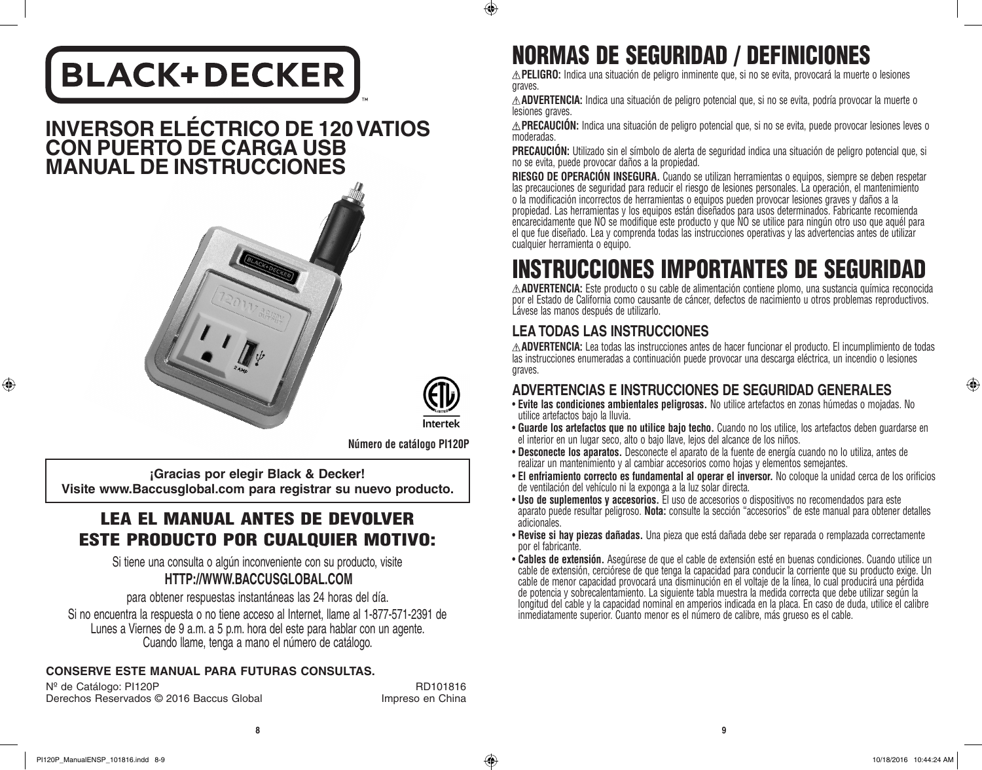# **BLACK+DECKER**

# **INVERSOR ELÉCTRICO DE 120 VATIOS CON PUERTO DE CARGA USB MANUAL DE INSTRUCCIONES**



Intertek

 $\bigcirc$ 

**Número de catálogo PI120P**

**¡Gracias por elegir Black & Decker! Visite www.Baccusglobal.com para registrar su nuevo producto.**

# LEA EL MANUAL ANTES DE DEVOLVER ESTE PRODUCTO POR CUALQUIER MOTIVO:

Si tiene una consulta o algún inconveniente con su producto, visite **HTTP://WWW.BACCUSGLOBAL.COM**

para obtener respuestas instantáneas las 24 horas del día.

Si no encuentra la respuesta o no tiene acceso al Internet, llame al 1-877-571-2391 de Lunes a Viernes de 9 a.m. a 5 p.m. hora del este para hablar con un agente. Cuando llame, tenga a mano el número de catálogo.

## **CONSERVE ESTE MANUAL PARA FUTURAS CONSULTAS.**

N<sup>º</sup> de Catálogo: PI120P RD101816 Derechos Reservados © 2016 Baccus Global Impreso en China

# NORMAS DE SEGURIDAD / DEFINICIONES

**PELIGRO:** Indica una situación de peligro inminente que, si no se evita, provocará la muerte o lesiones graves.

**ADVERTENCIA:** Indica una situación de peligro potencial que, si no se evita, podría provocar la muerte o lesiones graves.

**PRECAUCIÓN:** Indica una situación de peligro potencial que, si no se evita, puede provocar lesiones leves o moderadas.

**PRECAUCIÓN:** Utilizado sin el símbolo de alerta de seguridad indica una situación de peligro potencial que, si no se evita, puede provocar daños a la propiedad.

**RIESGO DE OPERACIÓN INSEGURA.** Cuando se utilizan herramientas o equipos, siempre se deben respetar las precauciones de seguridad para reducir el riesgo de lesiones personales. La operación, el mantenimiento o la modificación incorrectos de herramientas o equipos pueden provocar lesiones graves y daños a la propiedad. Las herramientas y los equipos están diseñados para usos determinados. Fabricante recomienda encarecidamente que NO se modifique este producto y que NO se utilice para ningún otro uso que aquél para el que fue diseñado. Lea y comprenda todas las instrucciones operativas y las advertencias antes de utilizar cualquier herramienta o equipo.

# INSTRUCCIONES IMPORTANTES DE SEGURIDAD

**ADVERTENCIA:** Este producto o su cable de alimentación contiene plomo, una sustancia química reconocida por el Estado de California como causante de cáncer, defectos de nacimiento u otros problemas reproductivos. Lávese las manos después de utilizarlo.

# **LEA TODAS LAS INSTRUCCIONES**

**ADVERTENCIA:** Lea todas las instrucciones antes de hacer funcionar el producto. El incumplimiento de todas las instrucciones enumeradas a continuación puede provocar una descarga eléctrica, un incendio o lesiones graves.

# **ADVERTENCIAS E INSTRUCCIONES DE SEGURIDAD GENERALES**

- • **Evite las condiciones ambientales peligrosas.** No utilice artefactos en zonas húmedas o mojadas. No utilice artefactos bajo la lluvia.
- • **Guarde los artefactos que no utilice bajo techo.** Cuando no los utilice, los artefactos deben guardarse en el interior en un lugar seco, alto o bajo llave, lejos del alcance de los niños.
- • **Desconecte los aparatos.** Desconecte el aparato de la fuente de energía cuando no lo utiliza, antes de realizar un mantenimiento y al cambiar accesorios como hojas y elementos semejantes.
- • **El enfriamiento correcto es fundamental al operar el inversor.** No coloque la unidad cerca de los orificios de ventilación del vehículo ni la exponga a la luz solar directa.
- • **Uso de suplementos y accesorios.** El uso de accesorios o dispositivos no recomendados para este aparato puede resultar peligroso. **Nota:** consulte la sección "accesorios" de este manual para obtener detalles adicionales.
- • **Revise si hay piezas dañadas.** Una pieza que está dañada debe ser reparada o remplazada correctamente por el fabricante.
- • **Cables de extensión.** Asegúrese de que el cable de extensión esté en buenas condiciones. Cuando utilice un cable de extensión, cerciórese de que tenga la capacidad para conducir la corriente que su producto exige. Un cable de menor capacidad provocará una disminución en el voltaje de la línea, lo cual producirá una pérdida de potencia y sobrecalentamiento. La siguiente tabla muestra la medida correcta que debe utilizar según la longitud del cable y la capacidad nominal en amperios indicada en la placa. En caso de duda, utilice el calibre inmediatamente superior. Cuanto menor es el número de calibre, más grueso es el cable.

**8 9**

♠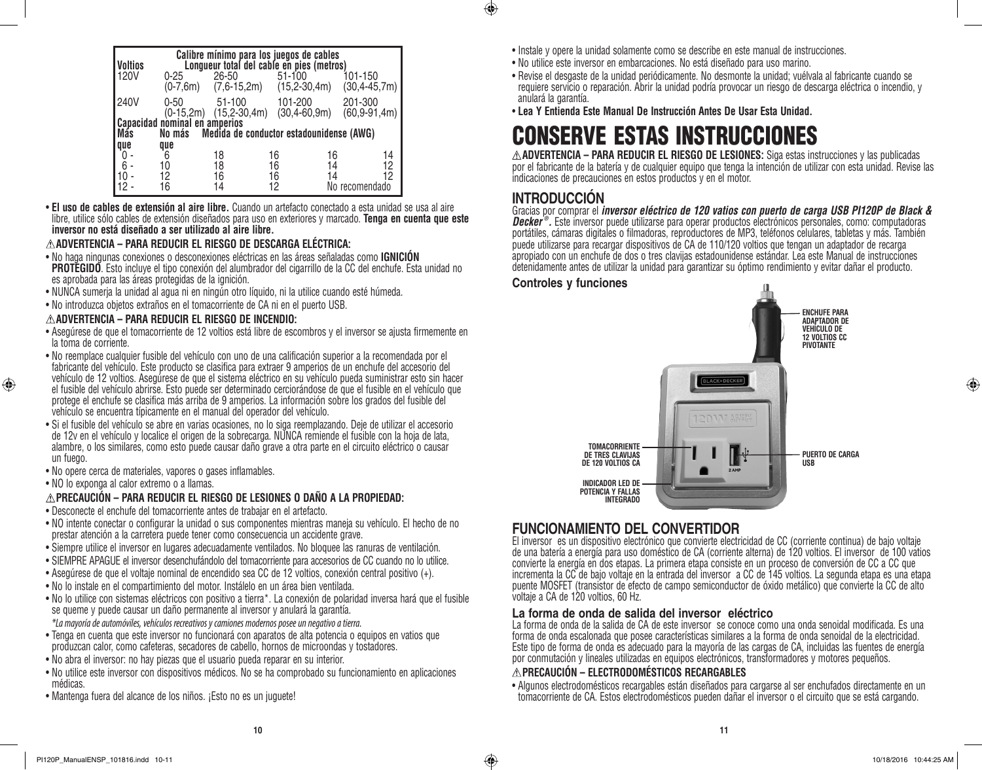| <b>Voltios</b> |                                                       |                            | Calibre mínimo para los juegos de cables<br>Longueur total del cable en pies (metros) |                             |    |
|----------------|-------------------------------------------------------|----------------------------|---------------------------------------------------------------------------------------|-----------------------------|----|
| <b>120V</b>    | $0 - 25$<br>$(0-7, 6m)$                               | 26-50<br>$(7,6-15,2m)$     | $51 - 100$<br>$(15, 2-30, 4m)$                                                        | 101-150<br>$(30, 4-45, 7m)$ |    |
| 240V           | $0 - 50$<br>$(0-15,2m)$                               | 51-100<br>$(15, 2-30, 4m)$ | 101-200<br>$(30, 4-60, 9m)$                                                           | 201-300<br>$(60, 9-91, 4m)$ |    |
|                |                                                       |                            |                                                                                       |                             |    |
|                | Capacidad nominal en amperios<br>Más Mo más Medida de |                            |                                                                                       |                             |    |
|                |                                                       |                            | Medida de conductor estadounidense (AWG)                                              |                             |    |
| que            | que                                                   |                            |                                                                                       |                             |    |
| 0              | 6                                                     | 18                         | 16                                                                                    | 16                          | 14 |
| $6 -$          | 10                                                    | 18                         | 16                                                                                    | 14                          | 12 |
| 10             | 12                                                    | 16                         | 16                                                                                    | 14                          | 12 |
| 12             | 16                                                    | 14                         | 12                                                                                    | No recomendado              |    |
|                |                                                       |                            |                                                                                       |                             |    |

• **El uso de cables de extensión al aire libre.** Cuando un artefacto conectado a esta unidad se usa al aire libre, utilice sólo cables de extensión diseñados para uso en exteriores y marcado. **Tenga en cuenta que este inversor no está diseñado a ser utilizado al aire libre.** 

#### **ADVERTENCIA – PARA REDUCIR EL RIESGO DE DESCARGA ELÉCTRICA:**

- • No haga ningunas conexiones o desconexiones eléctricas en las áreas señaladas como **IGNICIÓN PROTEGIDO**. Esto incluye el tipo conexión del alumbrador del cigarrillo de la CC del enchufe. Esta unidad no es aprobada para las áreas protegidas de la ignición.
- • NUNCA sumerja la unidad al agua ni en ningún otro líquido, ni la utilice cuando esté húmeda.
- • No introduzca objetos extraños en el tomacorriente de CA ni en el puerto USB.

#### **ADVERTENCIA – PARA REDUCIR EL RIESGO DE INCENDIO:**

- • Asegúrese de que el tomacorriente de 12 voltios está libre de escombros y el inversor se ajusta firmemente en la toma de corriente.
- • No reemplace cualquier fusible del vehículo con uno de una calificación superior a la recomendada por el fabricante del vehículo. Este producto se clasifica para extraer 9 amperios de un enchufe del accesorio del vehículo de 12 voltios. Asegúrese de que el sistema eléctrico en su vehículo pueda suministrar esto sin hacer
- el fusible del vehículo abrirse. Esto puede ser determinado cerciorándose de que el fusible en el vehículo que protege el enchufe se clasifica más arriba de 9 amperios. La información sobre los grados del fusible del vehículo se encuentra típicamente en el manual del operador del vehículo.
- • Si el fusible del vehículo se abre en varias ocasiones, no lo siga reemplazando. Deje de utilizar el accesorio de 12v en el vehículo y localice el origen de la sobrecarga. NUNCA remiende el fusible con la hoja de lata, alambre, o los similares, como esto puede causar daño grave a otra parte en el circuito eléctrico o causar un fuego.
- No opere cerca de materiales, vapores o gases inflamables.
- • NO lo exponga al calor extremo o a llamas.

⊕

#### **PRECAUCIÓN – PARA REDUCIR EL RIESGO DE LESIONES O DAÑO A LA PROPIEDAD:**

- • Desconecte el enchufe del tomacorriente antes de trabajar en el artefacto.
- • NO intente conectar o configurar la unidad o sus componentes mientras maneja su vehículo. El hecho de no prestar atención a la carretera puede tener como consecuencia un accidente grave.
- • Siempre utilice el inversor en lugares adecuadamente ventilados. No bloquee las ranuras de ventilación.
- • SIEMPRE APAGUE el inversor desenchufándolo del tomacorriente para accesorios de CC cuando no lo utilice.
- • Asegúrese de que el voltaje nominal de encendido sea CC de 12 voltios, conexión central positivo (+).
- • No lo instale en el compartimiento del motor. Instálelo en un área bien ventilada.
- • No lo utilice con sistemas eléctricos con positivo a tierra\*. La conexión de polaridad inversa hará que el fusible se queme y puede causar un daño permanente al inversor y anulará la garantía.
- *\*La mayoría de automóviles, vehículos recreativos y camiones modernos posee un negativo a tierra.*
- • Tenga en cuenta que este inversor no funcionará con aparatos de alta potencia o equipos en vatios que produzcan calor, como cafeteras, secadores de cabello, hornos de microondas y tostadores.
- • No abra el inversor: no hay piezas que el usuario pueda reparar en su interior.
- • No utilice este inversor con dispositivos médicos. No se ha comprobado su funcionamiento en aplicaciones médicas.
- Mantenga fuera del alcance de los niños. ¡Esto no es un juguete!
- Instale y opere la unidad solamente como se describe en este manual de instrucciones.
- • No utilice este inversor en embarcaciones. No está diseñado para uso marino.
- • Revise el desgaste de la unidad periódicamente. No desmonte la unidad; vuélvala al fabricante cuando se requiere servicio o reparación. Abrir la unidad podría provocar un riesgo de descarga eléctrica o incendio, y anulará la garantía.
- • **Lea Y Entienda Este Manual De Instrucción Antes De Usar Esta Unidad.**

# CONSERVE ESTAS INSTRUCCIONES

**ADVERTENCIA – PARA REDUCIR EL RIESGO DE LESIONES:** Siga estas instrucciones y las publicadas por el fabricante de la batería y de cualquier equipo que tenga la intención de utilizar con esta unidad. Revise las indicaciones de precauciones en estos productos y en el motor.

# **INTRODUCCIÓN**

 $\bigoplus$ 

Gracias por comprar el *inversor eléctrico de 120 vatios con puerto de carga USB PI120P de Black & Decker ® .* Este inversor puede utilizarse para operar productos electrónicos personales, como: computadoras portátiles, cámaras digitales o filmadoras, reproductores de MP3, teléfonos celulares, tabletas y más. También puede utilizarse para recargar dispositivos de CA de 110/120 voltios que tengan un adaptador de recarga apropiado con un enchufe de dos o tres clavijas estadounidense estándar. Lea este Manual de instrucciones detenidamente antes de utilizar la unidad para garantizar su óptimo rendimiento y evitar dañar el producto.

### **Controles y funciones**



# **FUNCIONAMIENTO DEL CONVERTIDOR**

El inversor es un dispositivo electrónico que convierte electricidad de CC (corriente continua) de bajo voltaje de una batería a energía para uso doméstico de CA (corriente alterna) de 120 voltios. El inversor de 100 vatios convierte la energía en dos etapas. La primera etapa consiste en un proceso de conversión de CC a CC que incrementa la CC de bajo voltaje en la entrada del inversor a CC de 145 voltios. La segunda etapa es una etapa puente MOSFET (transistor de efecto de campo semiconductor de óxido metálico) que convierte la CC de alto voltaje a CA de 120 voltios, 60 Hz.

#### **La forma de onda de salida del inversor eléctrico**

La forma de onda de la salida de CA de este inversor se conoce como una onda senoidal modificada. Es una forma de onda escalonada que posee características similares a la forma de onda senoidal de la electricidad. Este tipo de forma de onda es adecuado para la mayoría de las cargas de CA, incluidas las fuentes de energía por conmutación y lineales utilizadas en equipos electrónicos, transformadores y motores pequeños.

### **PRECAUCIÓN – ELECTRODOMÉSTICOS RECARGABLES**

• Algunos electrodomésticos recargables están diseñados para cargarse al ser enchufados directamente en un tomacorriente de CA. Estos electrodomésticos pueden dañar el inversor o el circuito que se está cargando.

♠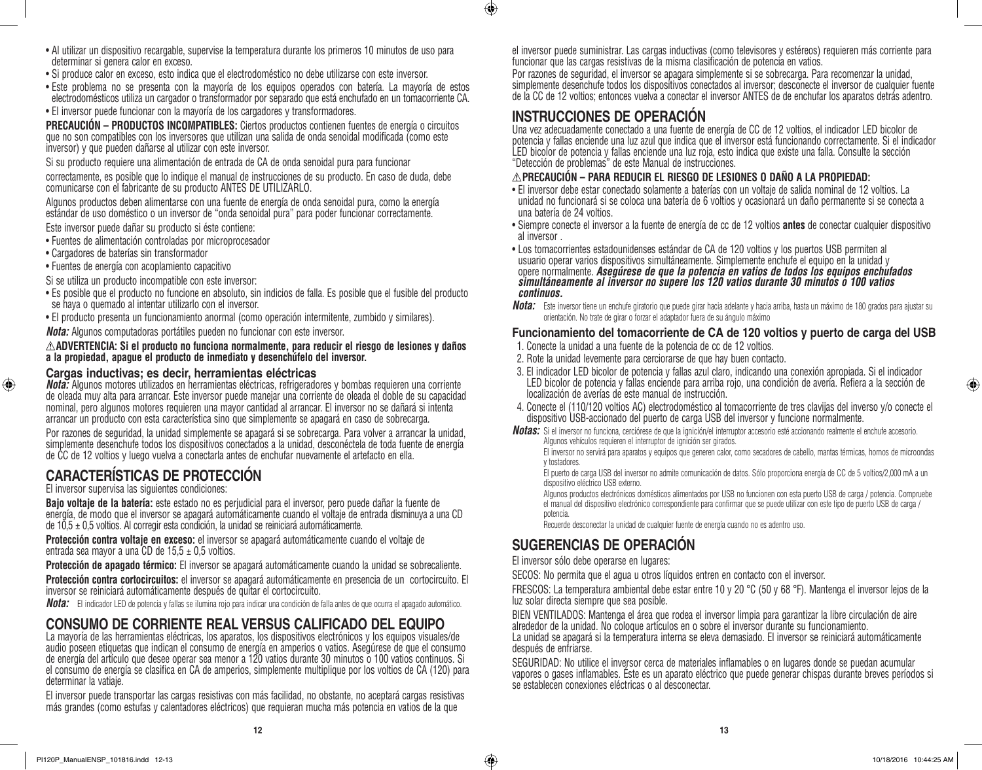- • Al utilizar un dispositivo recargable, supervise la temperatura durante los primeros 10 minutos de uso para determinar si genera calor en exceso.
- • Si produce calor en exceso, esto indica que el electrodoméstico no debe utilizarse con este inversor.
- • Este problema no se presenta con la mayoría de los equipos operados con batería. La mayoría de estos electrodomésticos utiliza un cargador o transformador por separado que está enchufado en un tomacorriente CA.
- El inversor puede funcionar con la mayoría de los cargadores y transformadores.

**PRECAUCIÓN – PRODUCTOS INCOMPATIBLES:** Ciertos productos contienen fuentes de energía o circuitos que no son compatibles con los inversores que utilizan una salida de onda senoidal modificada (como este inversor) y que pueden dañarse al utilizar con este inversor.

Si su producto requiere una alimentación de entrada de CA de onda senoidal pura para funcionar

correctamente, es posible que lo indique el manual de instrucciones de su producto. En caso de duda, debe comunicarse con el fabricante de su producto ANTES DE UTILIZARLO.

Algunos productos deben alimentarse con una fuente de energía de onda senoidal pura, como la energía estándar de uso doméstico o un inversor de "onda senoidal pura" para poder funcionar correctamente.

Este inversor puede dañar su producto si éste contiene:

- • Fuentes de alimentación controladas por microprocesador
- • Cargadores de baterías sin transformador

⊕

• Fuentes de energía con acoplamiento capacitivo

Si se utiliza un producto incompatible con este inversor:

- • Es posible que el producto no funcione en absoluto, sin indicios de falla. Es posible que el fusible del producto se haya o quemado al intentar utilizarlo con el inversor.
- • El producto presenta un funcionamiento anormal (como operación intermitente, zumbido y similares).

*Nota:* Algunos computadoras portátiles pueden no funcionar con este inversor.

**ADVERTENCIA: Si el producto no funciona normalmente, para reducir el riesgo de lesiones y daños a la propiedad, apague el producto de inmediato y desenchúfelo del inversor.**

### **Cargas inductivas; es decir, herramientas eléctricas**

*Nota:* Algunos motores utilizados en herramientas eléctricas, refrigeradores y bombas requieren una corriente de oleada muy alta para arrancar. Este inversor puede manejar una corriente de oleada el doble de su capacidad nominal, pero algunos motores requieren una mayor cantidad al arrancar. El inversor no se dañará si intenta arrancar un producto con esta característica sino que simplemente se apagará en caso de sobrecarga.

Por razones de seguridad, la unidad simplemente se apagará si se sobrecarga. Para volver a arrancar la unidad, simplemente desenchufe todos los dispositivos conectados a la unidad, desconéctela de toda fuente de energía de CC de 12 voltios y luego vuelva a conectarla antes de enchufar nuevamente el artefacto en ella.

# **CARACTERÍSTICAS DE PROTECCIÓN**

El inversor supervisa las siguientes condiciones:

**Bajo voltaje de la batería:** este estado no es perjudicial para el inversor, pero puede dañar la fuente de energía, de modo que el inversor se apagará automáticamente cuando el voltaje de entrada disminuya a una CD de 10,5 ± 0,5 voltios. Al corregir esta condición, la unidad se reiniciará automáticamente.

**Protección contra voltaje en exceso:** el inversor se apagará automáticamente cuando el voltaje de entrada sea mayor a una CD de 15,5  $\pm$  0,5 voltios.

**Protección de apagado térmico:** El inversor se apagará automáticamente cuando la unidad se sobrecaliente.

**Protección contra cortocircuitos:** el inversor se apagará automáticamente en presencia de un cortocircuito. El inversor se reiniciará automáticamente después de quitar el cortocircuito.

*Nota:* El indicador LED de potencia y fallas se ilumina rojo para indicar una condición de falla antes de que ocurra el apagado automático.

# **CONSUMO DE CORRIENTE REAL VERSUS CALIFICADO DEL EQUIPO**

La mayoría de las herramientas eléctricas, los aparatos, los dispositivos electrónicos y los equipos visuales/de audio poseen etiquetas que indican el consumo de energía en amperios o vatios. Asegúrese de que el consumo de energía del artículo que desee operar sea menor a 120 vatios durante 30 minutos o 100 vatios continuos. Si el consumo de energía se clasifica en CA de amperios, simplemente multiplique por los voltios de CA (120) para determinar la vatiaje.

El inversor puede transportar las cargas resistivas con más facilidad, no obstante, no aceptará cargas resistivas más grandes (como estufas y calentadores eléctricos) que requieran mucha más potencia en vatios de la que

el inversor puede suministrar. Las cargas inductivas (como televisores y estéreos) requieren más corriente para funcionar que las cargas resistivas de la misma clasificación de potencia en vatios.

Por razones de seguridad, el inversor se apagara simplemente si se sobrecarga. Para recomenzar la unidad, simplemente desenchufe todos los dispositivos conectados al inversor; desconecte el inversor de cualquier fuente de la CC de 12 voltios; entonces vuelva a conectar el inversor ANTES de de enchufar los aparatos detrás adentro.

# **INSTRUCCIONES DE OPERACIÓN**

 $\bigcirc$ 

Una vez adecuadamente conectado a una fuente de energía de CC de 12 voltios, el indicador LED bicolor de potencia y fallas enciende una luz azul que indica que el inversor está funcionando correctamente. Si el indicador LED bicolor de potencia y fallas enciende una luz roja, esto indica que existe una falla. Consulte la sección "Detección de problemas" de este Manual de instrucciones.

### **PRECAUCIÓN – PARA REDUCIR EL RIESGO DE LESIONES O DAÑO A LA PROPIEDAD:**

- • El inversor debe estar conectado solamente a baterías con un voltaje de salida nominal de 12 voltios. La unidad no funcionará si se coloca una batería de 6 voltios y ocasionará un daño permanente si se conecta a una batería de 24 voltios.
- • Siempre conecte el inversor a la fuente de energía de cc de 12 voltios **antes** de conectar cualquier dispositivo al inversor .
- Los tomacorrientes estadounidenses estándar de CA de 120 voltios y los puertos USB permiten al usuario operar varios dispositivos simultáneamente. Simplemente enchufe el equipo en la unidad y<br>opere normalmente. Asegúrese de que la potencia en vatios de todos los equipos enchufados opere normalmente. *Asegúrese de que la potencia en vatios de todos los equipos enchufados simultáneamente al inversor no supere los 120 vatios durante 30 minutos o 100 vatios continuos.*
- *Nota:* Este inversor tiene un enchufe giratorio que puede girar hacia adelante y hacia arriba, hasta un máximo de 180 grados para ajustar su orientación. No trate de girar o forzar el adaptador fuera de su ángulo máximo

### **Funcionamiento del tomacorriente de CA de 120 voltios y puerto de carga del USB**

- 1. Conecte la unidad a una fuente de la potencia de cc de 12 voltios.
- 2. Rote la unidad levemente para cerciorarse de que hay buen contacto.
- 3. El indicador LED bicolor de potencia y fallas azul claro, indicando una conexión apropiada. Si el indicador LED bicolor de potencia y fallas enciende para arriba rojo, una condición de avería. Refiera a la sección de localización de averías de este manual de instrucción.
- 4. Conecte el (110/120 voltios AC) electrodoméstico al tomacorriente de tres clavijas del inverso y/o conecte el dispositivo USB-accionado del puerto de carga USB del inversor y funcione normalmente.
- *Notas:* Si el inversor no funciona, cerciórese de que la ignición/el interruptor accesorio esté accionando realmente el enchufe accesorio. Algunos vehículos requieren el interruptor de ignición ser girados.

El inversor no servirá para aparatos y equipos que generen calor, como secadores de cabello, mantas térmicas, hornos de microondas y tostadores.

El puerto de carga USB del inversor no admite comunicación de datos. Sólo proporciona energía de CC de 5 voltios/2,000 mA a un dispositivo eléctrico USB externo.

Algunos productos electrónicos domésticos alimentados por USB no funcionen con esta puerto USB de carga / potencia. Compruebe el manual del dispositivo electrónico correspondiente para confirmar que se puede utilizar con este tipo de puerto USB de carga / potencia.

Recuerde desconectar la unidad de cualquier fuente de energía cuando no es adentro uso.

# **SUGERENCIAS DE OPERACIÓN**

El inversor sólo debe operarse en lugares:

SECOS: No permita que el agua u otros líquidos entren en contacto con el inversor.

FRESCOS: La temperatura ambiental debe estar entre 10 y 20 °C (50 y 68 °F). Mantenga el inversor lejos de la luz solar directa siempre que sea posible.

BIEN VENTILADOS: Mantenga el área que rodea el inversor limpia para garantizar la libre circulación de aire alrededor de la unidad. No coloque artículos en o sobre el inversor durante su funcionamiento.

La unidad se apagará si la temperatura interna se eleva demasiado. El inversor se reiniciará automáticamente después de enfriarse.

SEGURIDAD: No utilice el inversor cerca de materiales inflamables o en lugares donde se puedan acumular vapores o gases inflamables. Éste es un aparato eléctrico que puede generar chispas durante breves períodos si se establecen conexiones eléctricas o al desconectar.